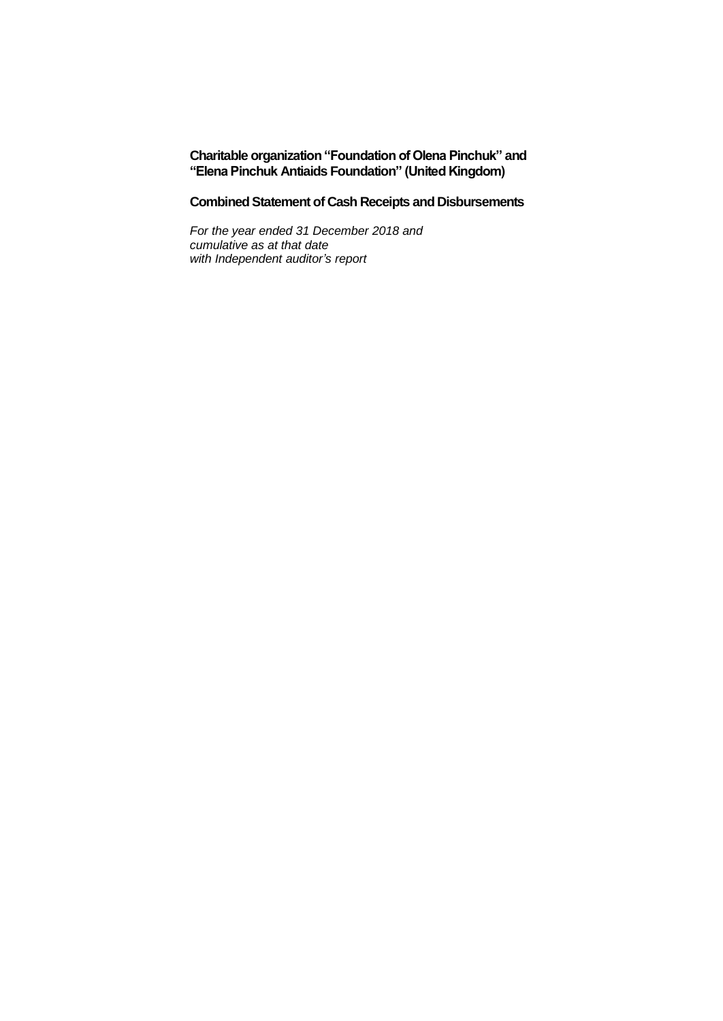#### **Charitable organization "Foundation of Olena Pinchuk" and "Elena Pinchuk Antiaids Foundation" (United Kingdom)**

# **Combined Statement of Cash Receipts and Disbursements**

*For the year ended 31 December 2018 and cumulative as at that date with Independent auditor's report*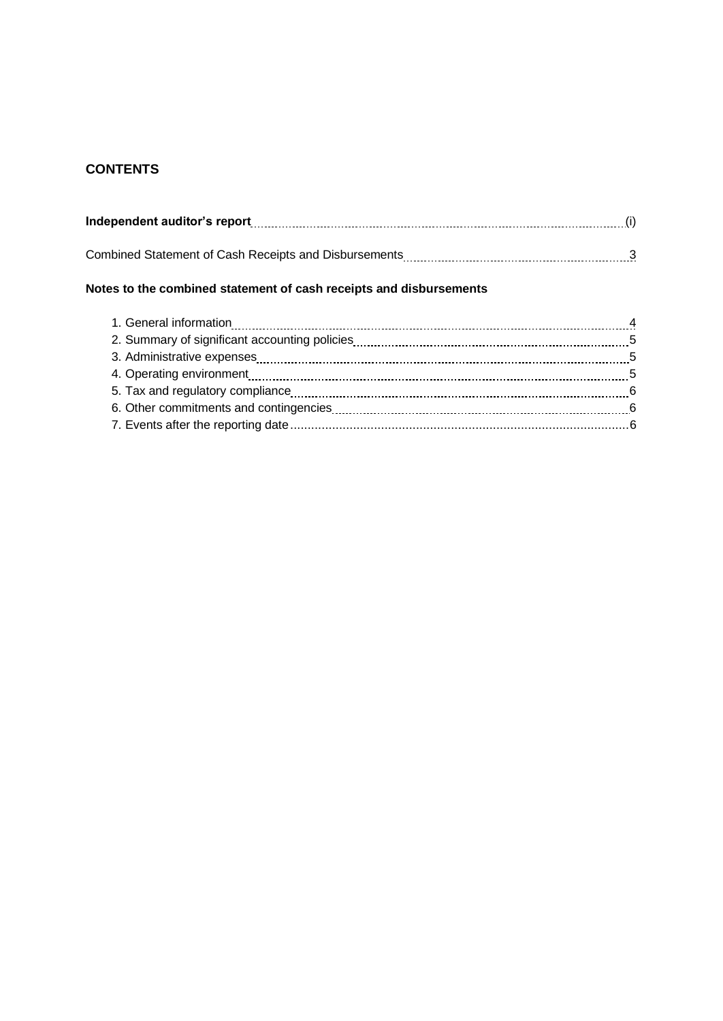# **CONTENTS**

| Independent auditor's report [11] manufactures in the set of the set of the set of the set of the set of the s |  |
|----------------------------------------------------------------------------------------------------------------|--|
|                                                                                                                |  |
|                                                                                                                |  |

# **Notes to the combined statement of cash receipts and disbursements**

| 3. Administrative expenses <b>contained a material contract a material contract a material contract a material contract of 5</b> |  |
|----------------------------------------------------------------------------------------------------------------------------------|--|
|                                                                                                                                  |  |
|                                                                                                                                  |  |
|                                                                                                                                  |  |
|                                                                                                                                  |  |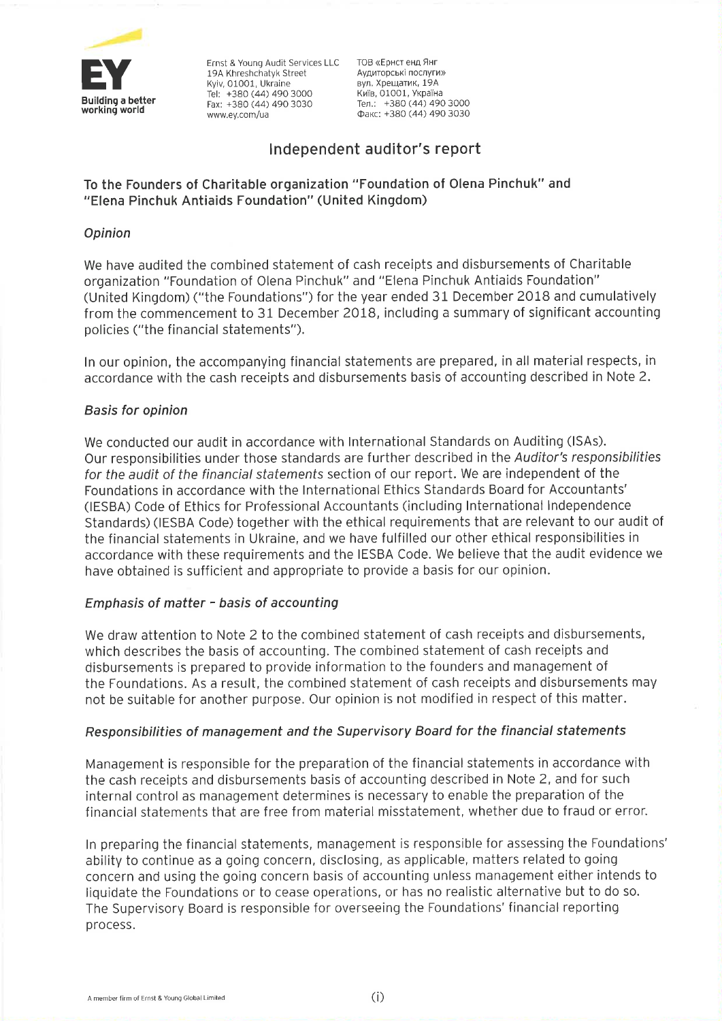

Ernst & Young Audit Services LLC 19A Khreshchatyk Street Kyiv, 01001, Ukraine Tel: +380 (44) 490 3000 Fax: +380 (44) 490 3030 www.ey.com/ua

ТОВ «Ернст енд Янг Аудиторські послуги» вул. Хрешатик, 19А Київ, 01001, Україна<br>Тел.: +380 (44) 490 3000 Факс: +380 (44) 490 3030

# Independent auditor's report

To the Founders of Charitable organization "Foundation of Olena Pinchuk" and "Elena Pinchuk Antiaids Foundation" (United Kingdom)

# Opinion

We have audited the combined statement of cash receipts and disbursements of Charitable organization "Foundation of Olena Pinchuk" and "Elena Pinchuk Antiaids Foundation" (United Kingdom) ("the Foundations") for the year ended 31 December 2018 and cumulatively from the commencement to 31 December 2018, including a summary of significant accounting policies ("the financial statements").

In our opinion, the accompanying financial statements are prepared, in all material respects, in accordance with the cash receipts and disbursements basis of accounting described in Note 2.

# **Basis for opinion**

We conducted our audit in accordance with International Standards on Auditing (ISAs). Our responsibilities under those standards are further described in the Auditor's responsibilities for the audit of the financial statements section of our report. We are independent of the Foundations in accordance with the International Ethics Standards Board for Accountants' (IESBA) Code of Ethics for Professional Accountants (including International Independence Standards) (IESBA Code) together with the ethical requirements that are relevant to our audit of the financial statements in Ukraine, and we have fulfilled our other ethical responsibilities in accordance with these requirements and the IESBA Code. We believe that the audit evidence we have obtained is sufficient and appropriate to provide a basis for our opinion.

# Emphasis of matter - basis of accounting

We draw attention to Note 2 to the combined statement of cash receipts and disbursements, which describes the basis of accounting. The combined statement of cash receipts and disbursements is prepared to provide information to the founders and management of the Foundations. As a result, the combined statement of cash receipts and disbursements may not be suitable for another purpose. Our opinion is not modified in respect of this matter.

# Responsibilities of management and the Supervisory Board for the financial statements

Management is responsible for the preparation of the financial statements in accordance with the cash receipts and disbursements basis of accounting described in Note 2, and for such internal control as management determines is necessary to enable the preparation of the financial statements that are free from material misstatement, whether due to fraud or error.

In preparing the financial statements, management is responsible for assessing the Foundations' ability to continue as a going concern, disclosing, as applicable, matters related to going concern and using the going concern basis of accounting unless management either intends to liquidate the Foundations or to cease operations, or has no realistic alternative but to do so. The Supervisory Board is responsible for overseeing the Foundations' financial reporting process.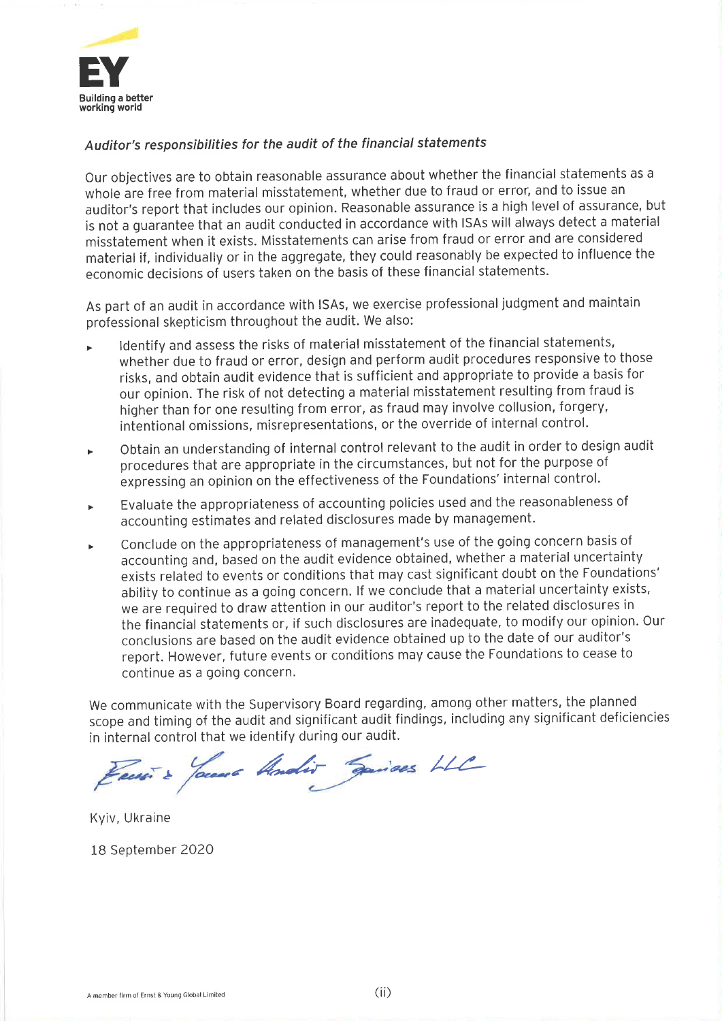

# Auditor's responsibilities for the audit of the financial statements

Our objectives are to obtain reasonable assurance about whether the financial statements as a whole are free from material misstatement, whether due to fraud or error, and to issue an auditor's report that includes our opinion. Reasonable assurance is a high level of assurance, but is not a quarantee that an audit conducted in accordance with ISAs will always detect a material misstatement when it exists. Misstatements can arise from fraud or error and are considered material if, individually or in the aggregate, they could reasonably be expected to influence the economic decisions of users taken on the basis of these financial statements.

As part of an audit in accordance with ISAs, we exercise professional judgment and maintain professional skepticism throughout the audit. We also:

- Identify and assess the risks of material misstatement of the financial statements, whether due to fraud or error, design and perform audit procedures responsive to those risks, and obtain audit evidence that is sufficient and appropriate to provide a basis for our opinion. The risk of not detecting a material misstatement resulting from fraud is higher than for one resulting from error, as fraud may involve collusion, forgery, intentional omissions, misrepresentations, or the override of internal control.
- Obtain an understanding of internal control relevant to the audit in order to design audit  $\blacktriangleright$ procedures that are appropriate in the circumstances, but not for the purpose of expressing an opinion on the effectiveness of the Foundations' internal control.
- Evaluate the appropriateness of accounting policies used and the reasonableness of accounting estimates and related disclosures made by management.
- Conclude on the appropriateness of management's use of the going concern basis of accounting and, based on the audit evidence obtained, whether a material uncertainty exists related to events or conditions that may cast significant doubt on the Foundations' ability to continue as a going concern. If we conclude that a material uncertainty exists, we are required to draw attention in our auditor's report to the related disclosures in the financial statements or, if such disclosures are inadequate, to modify our opinion. Our conclusions are based on the audit evidence obtained up to the date of our auditor's report. However, future events or conditions may cause the Foundations to cease to continue as a going concern.

We communicate with the Supervisory Board regarding, among other matters, the planned scope and timing of the audit and significant audit findings, including any significant deficiencies in internal control that we identify during our audit.

Freezi & Jours Andis Gaises LLC

Kviv, Ukraine 18 September 2020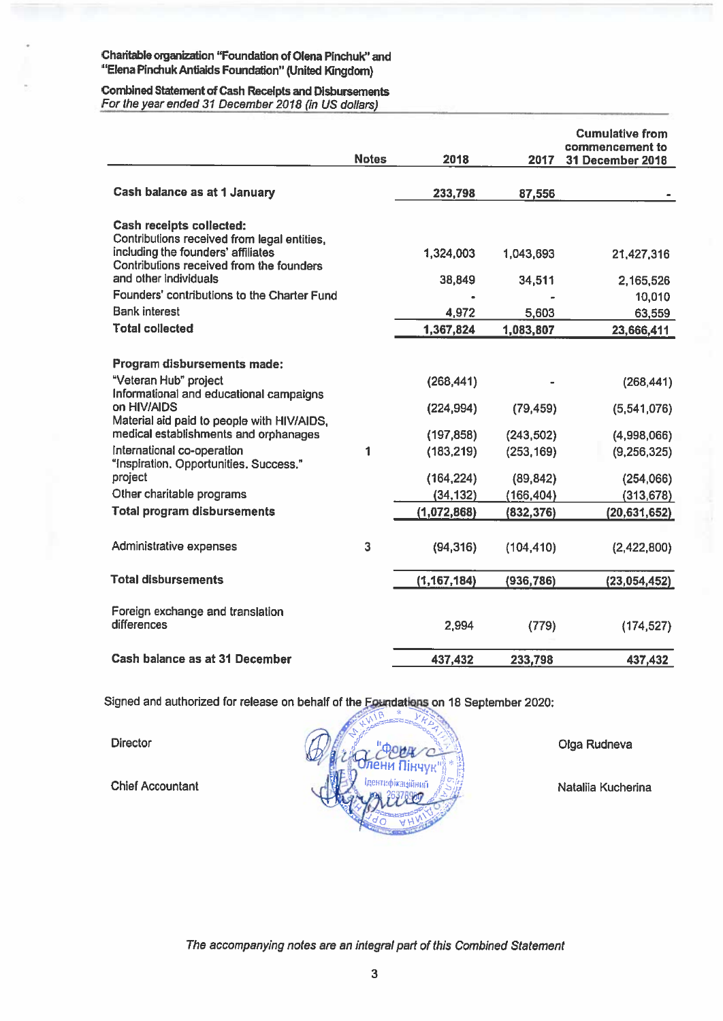#### Charitable organization "Foundation of Olena Pinchuk" and "Elena Pinchuk Antiaids Foundation" (United Kingdom)

#### **Combined Statement of Cash Receipts and Disbursements** For the year ended 31 December 2018 (in US dollars)

|                                                                                | <b>Notes</b> | 2018          | 2017       | <b>Cumulative from</b><br>commencement to<br>31 December 2018 |
|--------------------------------------------------------------------------------|--------------|---------------|------------|---------------------------------------------------------------|
|                                                                                |              |               |            |                                                               |
| Cash balance as at 1 January                                                   |              | 233,798       | 87,556     |                                                               |
| Cash receipts collected:<br>Contributions received from legal entities,        |              |               |            |                                                               |
| including the founders' affiliates<br>Contributions received from the founders |              | 1,324,003     | 1,043,693  | 21,427,316                                                    |
| and other individuals                                                          |              | 38,849        | 34,511     | 2,165,526                                                     |
| Founders' contributions to the Charter Fund                                    |              |               |            | 10,010                                                        |
| <b>Bank interest</b>                                                           |              | 4,972         | 5,603      | 63,559                                                        |
| <b>Total collected</b>                                                         |              | 1,367,824     | 1,083,807  | 23,666,411                                                    |
| Program disbursements made:                                                    |              |               |            |                                                               |
| "Veteran Hub" project<br>Informational and educational campaigns               |              | (268, 441)    |            | (268, 441)                                                    |
| on HIV/AIDS<br>Material aid paid to people with HIV/AIDS,                      |              | (224, 994)    | (79, 459)  | (5,541,076)                                                   |
| medical establishments and orphanages                                          |              | (197, 858)    | (243, 502) | (4,998,066)                                                   |
| International co-operation<br>"Inspiration. Opportunities. Success."           | 1            | (183, 219)    | (253, 169) | (9,256,325)                                                   |
| project                                                                        |              | (164, 224)    | (89, 842)  | (254,066)                                                     |
| Other charitable programs                                                      |              | (34, 132)     | (166, 404) | (313, 678)                                                    |
| <b>Total program disbursements</b>                                             |              | (1,072,868)   | (832, 376) | (20, 631, 652)                                                |
| Administrative expenses                                                        | 3            | (94, 316)     | (104, 410) | (2,422,800)                                                   |
| <b>Total disbursements</b>                                                     |              | (1, 167, 184) | (936, 786) | (23, 054, 452)                                                |
| Foreign exchange and translation<br>differences                                |              | 2,994         | (779)      | (174, 527)                                                    |
| Cash balance as at 31 December                                                 |              | 437,432       | 233,798    | 437,432                                                       |

Signed and authorized for release on behalf of the Foundations on 18 September 2020:

**Director** 

**Chief Accountant** 



Olga Rudneva

Nataliia Kucherina

The accompanying notes are an integral part of this Combined Statement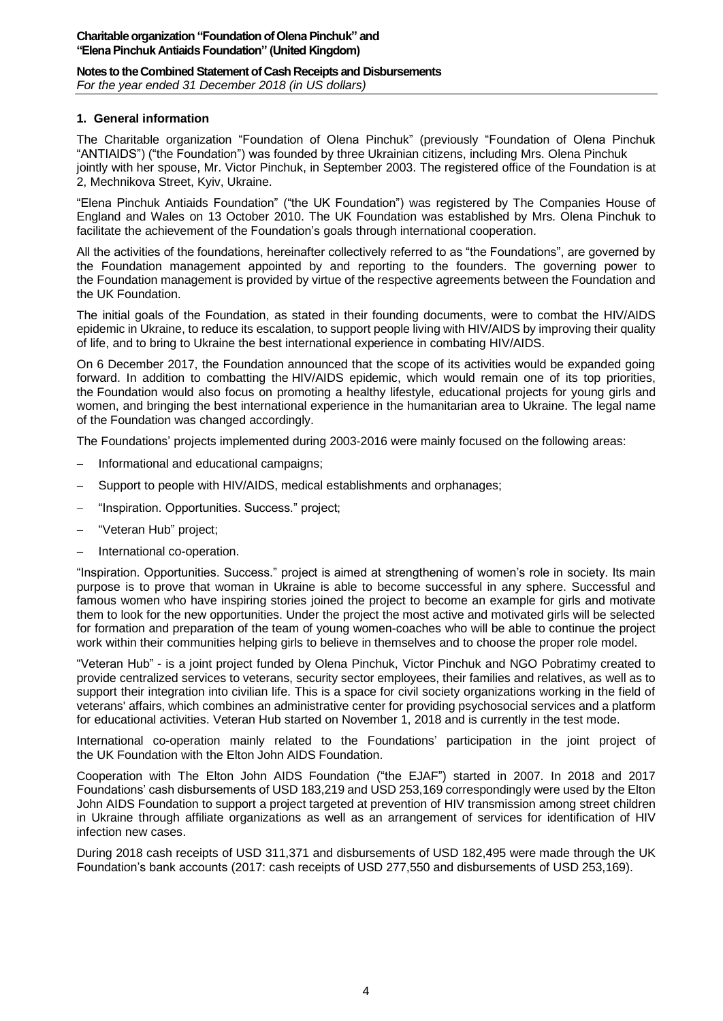## **Notes to the Combined Statement of Cash Receipts and Disbursements**

*For the year ended 31 December 2018 (in US dollars)*

#### **1. General information**

The Charitable organization "Foundation of Olena Pinchuk" (previously "Foundation of Olena Pinchuk "ANTIAIDS") ("the Foundation") was founded by three Ukrainian citizens, including Mrs. Olena Pinchuk jointly with her spouse, Mr. Victor Pinchuk, in September 2003. The registered office of the Foundation is at 2, Mechnikova Street, Kyiv, Ukraine.

"Elena Pinchuk Antiaids Foundation" ("the UK Foundation") was registered by The Companies House of England and Wales on 13 October 2010. The UK Foundation was established by Mrs. Olena Pinchuk to facilitate the achievement of the Foundation's goals through international cooperation.

All the activities of the foundations, hereinafter collectively referred to as "the Foundations", are governed by the Foundation management appointed by and reporting to the founders. The governing power to the Foundation management is provided by virtue of the respective agreements between the Foundation and the UK Foundation.

The initial goals of the Foundation, as stated in their founding documents, were to combat the HIV/AIDS epidemic in Ukraine, to reduce its escalation, to support people living with HIV/AIDS by improving their quality of life, and to bring to Ukraine the best international experience in combating HIV/AIDS.

On 6 December 2017, the Foundation announced that the scope of its activities would be expanded going forward. In addition to combatting the HIV/AIDS epidemic, which would remain one of its top priorities, the Foundation would also focus on promoting a healthy lifestyle, educational projects for young girls and women, and bringing the best international experience in the humanitarian area to Ukraine. The legal name of the Foundation was changed accordingly.

The Foundations' projects implemented during 2003-2016 were mainly focused on the following areas:

- − Informational and educational campaigns;
- Support to people with HIV/AIDS, medical establishments and orphanages;
- − "Inspiration. Opportunities. Success." project;
- − "Veteran Hub" project;
- − International co-operation.

"Inspiration. Opportunities. Success." project is aimed at strengthening of women's role in society. Its main purpose is to prove that woman in Ukraine is able to become successful in any sphere. Successful and famous women who have inspiring stories joined the project to become an example for girls and motivate them to look for the new opportunities. Under the project the most active and motivated girls will be selected for formation and preparation of the team of young women-coaches who will be able to continue the project work within their communities helping girls to believe in themselves and to choose the proper role model.

"Veteran Hub" - is a joint project funded by Olena Pinchuk, Victor Pinchuk and NGO Pobratimy created to provide centralized services to veterans, security sector employees, their families and relatives, as well as to support their integration into civilian life. This is a space for civil society organizations working in the field of veterans' affairs, which combines an administrative center for providing psychosocial services and a platform for educational activities. Veteran Hub started on November 1, 2018 and is currently in the test mode.

International co-operation mainly related to the Foundations' participation in the joint project of the UK Foundation with the Elton John AIDS Foundation.

Cooperation with The Elton John AIDS Foundation ("the EJAF") started in 2007. In 2018 and 2017 Foundations' cash disbursements of USD 183,219 and USD 253,169 correspondingly were used by the Elton John AIDS Foundation to support a project targeted at prevention of HIV transmission among street children in Ukraine through affiliate organizations as well as an arrangement of services for identification of HIV infection new cases.

During 2018 cash receipts of USD 311,371 and disbursements of USD 182,495 were made through the UK Foundation's bank accounts (2017: cash receipts of USD 277,550 and disbursements of USD 253,169).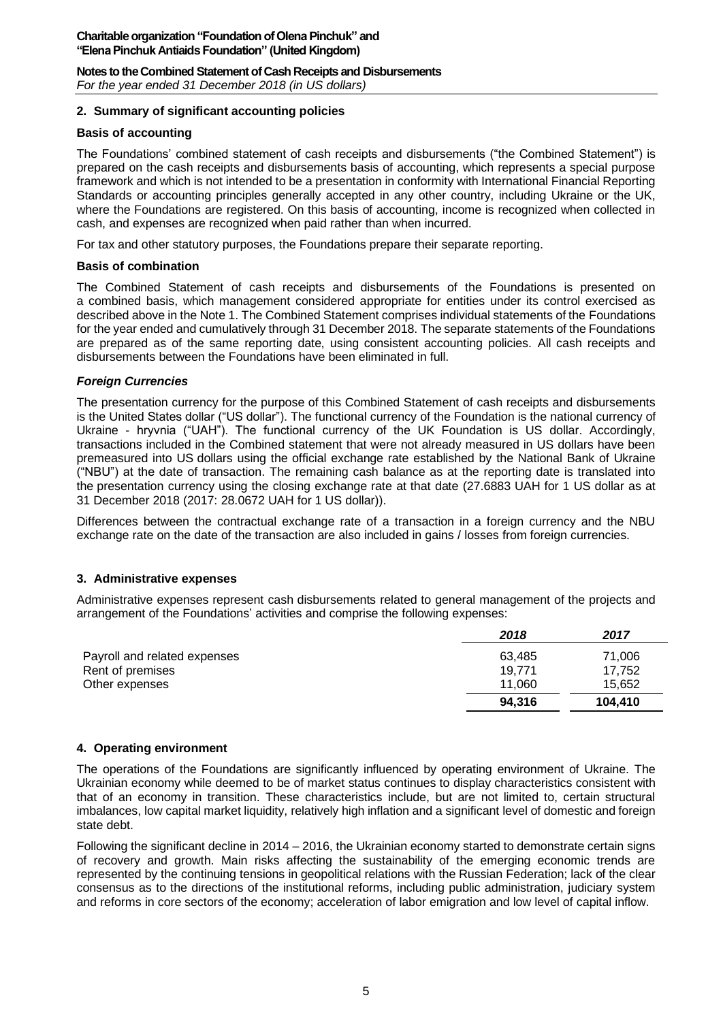# **Notes to the Combined Statement of Cash Receipts and Disbursements**

*For the year ended 31 December 2018 (in US dollars)*

## **2. Summary of significant accounting policies**

## **Basis of accounting**

The Foundations' combined statement of cash receipts and disbursements ("the Combined Statement") is prepared on the cash receipts and disbursements basis of accounting, which represents a special purpose framework and which is not intended to be a presentation in conformity with International Financial Reporting Standards or accounting principles generally accepted in any other country, including Ukraine or the UK, where the Foundations are registered. On this basis of accounting, income is recognized when collected in cash, and expenses are recognized when paid rather than when incurred.

For tax and other statutory purposes, the Foundations prepare their separate reporting.

#### **Basis of combination**

The Combined Statement of cash receipts and disbursements of the Foundations is presented on a combined basis, which management considered appropriate for entities under its control exercised as described above in the Note 1. The Combined Statement comprises individual statements of the Foundations for the year ended and cumulatively through 31 December 2018. The separate statements of the Foundations are prepared as of the same reporting date, using consistent accounting policies. All cash receipts and disbursements between the Foundations have been eliminated in full.

#### *Foreign Currencies*

The presentation currency for the purpose of this Combined Statement of cash receipts and disbursements is the United States dollar ("US dollar"). The functional currency of the Foundation is the national currency of Ukraine - hryvnia ("UAH"). The functional currency of the UK Foundation is US dollar. Accordingly, transactions included in the Combined statement that were not already measured in US dollars have been premeasured into US dollars using the official exchange rate established by the National Bank of Ukraine ("NBU") at the date of transaction. The remaining cash balance as at the reporting date is translated into the presentation currency using the closing exchange rate at that date (27.6883 UAH for 1 US dollar as at 31 December 2018 (2017: 28.0672 UAH for 1 US dollar)).

Differences between the contractual exchange rate of a transaction in a foreign currency and the NBU exchange rate on the date of the transaction are also included in gains / losses from foreign currencies.

## **3. Administrative expenses**

Administrative expenses represent cash disbursements related to general management of the projects and arrangement of the Foundations' activities and comprise the following expenses:

|                              | 2018   | 2017    |
|------------------------------|--------|---------|
| Payroll and related expenses | 63.485 | 71,006  |
| Rent of premises             | 19.771 | 17,752  |
| Other expenses               | 11.060 | 15,652  |
|                              | 94.316 | 104,410 |

## **4. Operating environment**

The operations of the Foundations are significantly influenced by operating environment of Ukraine. The Ukrainian economy while deemed to be of market status continues to display characteristics consistent with that of an economy in transition. These characteristics include, but are not limited to, certain structural imbalances, low capital market liquidity, relatively high inflation and a significant level of domestic and foreign state debt.

Following the significant decline in 2014 – 2016, the Ukrainian economy started to demonstrate certain signs of recovery and growth. Main risks affecting the sustainability of the emerging economic trends are represented by the continuing tensions in geopolitical relations with the Russian Federation; lack of the clear consensus as to the directions of the institutional reforms, including public administration, judiciary system and reforms in core sectors of the economy; acceleration of labor emigration and low level of capital inflow.